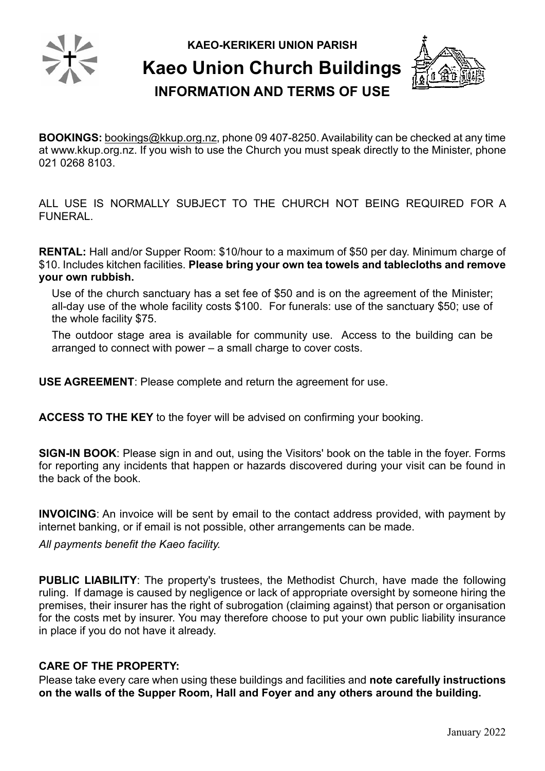

**KAEO-KERIKERI UNION PARISH**

**Kaeo Union Church Buildings**



**INFORMATION AND TERMS OF USE**

**BOOKINGS:** bookings@kkup.org.nz, phone 09 407-8250. Availability can be checked at any time at [www.kkup.org.nz.](http://www.kkup.org.nz/) If you wish to use the Church you must speak directly to the Minister, phone 021 0268 8103.

ALL USE IS NORMALLY SUBJECT TO THE CHURCH NOT BEING REQUIRED FOR A FUNERAL.

**RENTAL:** Hall and/or Supper Room: \$10/hour to a maximum of \$50 per day. Minimum charge of \$10. Includes kitchen facilities. **Please bring your own tea towels and tablecloths and remove your own rubbish.**

Use of the church sanctuary has a set fee of \$50 and is on the agreement of the Minister; all-day use of the whole facility costs \$100. For funerals: use of the sanctuary \$50; use of the whole facility \$75.

The outdoor stage area is available for community use. Access to the building can be arranged to connect with power – a small charge to cover costs.

**USE AGREEMENT**: Please complete and return the agreement for use.

**ACCESS TO THE KEY** to the foyer will be advised on confirming your booking.

**SIGN-IN BOOK**: Please sign in and out, using the Visitors' book on the table in the foyer. Forms for reporting any incidents that happen or hazards discovered during your visit can be found in the back of the book.

**INVOICING**: An invoice will be sent by email to the contact address provided, with payment by internet banking, or if email is not possible, other arrangements can be made.

*All payments benefit the Kaeo facility.*

**PUBLIC LIABILITY**: The property's trustees, the Methodist Church, have made the following ruling. If damage is caused by negligence or lack of appropriate oversight by someone hiring the premises, their insurer has the right of subrogation (claiming against) that person or organisation for the costs met by insurer. You may therefore choose to put your own public liability insurance in place if you do not have it already.

## **CARE OF THE PROPERTY:**

Please take every care when using these buildings and facilities and **note carefully instructions on the walls of the Supper Room, Hall and Foyer and any others around the building.**